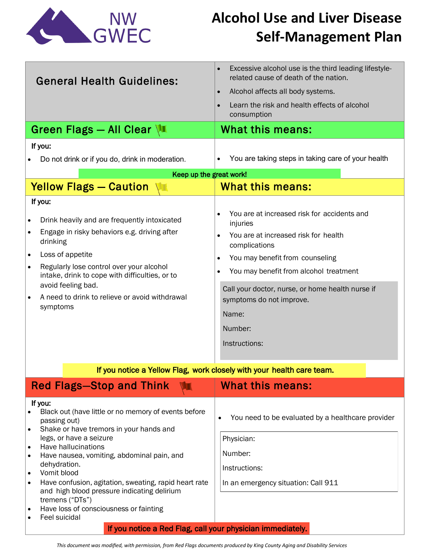

# **Alcohol Use and Liver Disease Self-Management Plan**

| <b>General Health Guidelines:</b>                                                                                                    | Excessive alcohol use is the third leading lifestyle-<br>$\bullet$<br>related cause of death of the nation. |
|--------------------------------------------------------------------------------------------------------------------------------------|-------------------------------------------------------------------------------------------------------------|
|                                                                                                                                      | Alcohol affects all body systems.<br>$\bullet$                                                              |
|                                                                                                                                      | Learn the risk and health effects of alcohol<br>$\bullet$<br>consumption                                    |
| Green Flags - All Clear                                                                                                              | What this means:                                                                                            |
| If you:                                                                                                                              |                                                                                                             |
| Do not drink or if you do, drink in moderation.                                                                                      | You are taking steps in taking care of your health                                                          |
| Keep up the great work!                                                                                                              |                                                                                                             |
| <b>Yellow Flags - Caution</b>                                                                                                        | <b>What this means:</b>                                                                                     |
| If you:                                                                                                                              |                                                                                                             |
| Drink heavily and are frequently intoxicated<br>$\bullet$                                                                            | You are at increased risk for accidents and<br>$\bullet$<br>injuries                                        |
| Engage in risky behaviors e.g. driving after<br>$\bullet$<br>drinking                                                                | You are at increased risk for health<br>$\bullet$<br>complications                                          |
| Loss of appetite<br>$\bullet$                                                                                                        | You may benefit from counseling<br>$\bullet$                                                                |
| Regularly lose control over your alcohol<br>$\bullet$<br>intake, drink to cope with difficulties, or to                              | You may benefit from alcohol treatment<br>$\bullet$                                                         |
| avoid feeling bad.                                                                                                                   | Call your doctor, nurse, or home health nurse if                                                            |
| A need to drink to relieve or avoid withdrawal<br>$\bullet$                                                                          | symptoms do not improve.                                                                                    |
| symptoms                                                                                                                             | Name:                                                                                                       |
|                                                                                                                                      | Number:                                                                                                     |
|                                                                                                                                      | Instructions:                                                                                               |
|                                                                                                                                      |                                                                                                             |
| If you notice a Yellow Flag, work closely with your health care team.                                                                |                                                                                                             |
| <b>Red Flags-Stop and Think</b>                                                                                                      | What this means:                                                                                            |
| If you:<br>Black out (have little or no memory of events before<br>$\bullet$                                                         |                                                                                                             |
| passing out)                                                                                                                         | You need to be evaluated by a healthcare provider<br>$\bullet$                                              |
| Shake or have tremors in your hands and<br>$\bullet$<br>legs, or have a seizure                                                      | Physician:                                                                                                  |
| Have hallucinations<br>$\bullet$                                                                                                     | Number:                                                                                                     |
| Have nausea, vomiting, abdominal pain, and<br>$\bullet$<br>dehydration.                                                              |                                                                                                             |
| Vomit blood<br>$\bullet$                                                                                                             | Instructions:                                                                                               |
| Have confusion, agitation, sweating, rapid heart rate<br>$\bullet$<br>and high blood pressure indicating delirium<br>tremens ("DTs") | In an emergency situation: Call 911                                                                         |
| Have loss of consciousness or fainting<br>$\bullet$                                                                                  |                                                                                                             |
| Feel suicidal<br>$\bullet$                                                                                                           |                                                                                                             |
| If you notice a Red Flag, call your physician immediately.                                                                           |                                                                                                             |